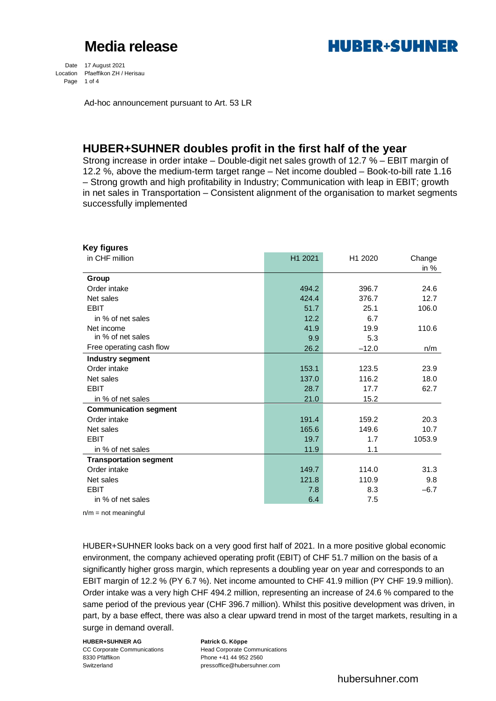

Date 17 August 2021 Location Pfaeffikon ZH / Herisau Page 1 of 4

Ad-hoc announcement pursuant to Art. 53 LR

### **HUBER+SUHNER doubles profit in the first half of the year**

Strong increase in order intake – Double-digit net sales growth of 12.7 % – EBIT margin of 12.2 %, above the medium-term target range – Net income doubled – Book-to-bill rate 1.16 – Strong growth and high profitability in Industry; Communication with leap in EBIT; growth in net sales in Transportation – Consistent alignment of the organisation to market segments successfully implemented

| in CHF million<br>H1 2021<br>H1 2020<br>Change<br>in $%$<br>Group<br>Order intake<br>494.2<br>396.7<br>24.6<br>Net sales<br>424.4<br>12.7<br>376.7<br><b>EBIT</b><br>51.7<br>25.1<br>106.0<br>12.2<br>6.7<br>in % of net sales<br>41.9<br>19.9<br>Net income<br>110.6<br>in % of net sales<br>5.3<br>9.9<br>Free operating cash flow<br>26.2<br>$-12.0$<br>n/m<br>Industry segment<br>Order intake<br>153.1<br>123.5<br>23.9<br>137.0<br>116.2<br>18.0<br>Net sales<br><b>EBIT</b><br>28.7<br>17.7<br>62.7<br>15.2<br>21.0<br>in % of net sales<br><b>Communication segment</b><br>Order intake<br>20.3<br>191.4<br>159.2<br>Net sales<br>165.6<br>149.6<br>10.7<br><b>EBIT</b><br>19.7<br>1.7<br>1053.9<br>in % of net sales<br>11.9<br>1.1<br><b>Transportation segment</b><br>Order intake<br>149.7<br>114.0<br>31.3<br>121.8<br>110.9<br>9.8<br>Net sales<br><b>EBIT</b><br>8.3<br>$-6.7$<br>7.8<br>in % of net sales<br>6.4<br>7.5 | Key figures |  |  |
|-----------------------------------------------------------------------------------------------------------------------------------------------------------------------------------------------------------------------------------------------------------------------------------------------------------------------------------------------------------------------------------------------------------------------------------------------------------------------------------------------------------------------------------------------------------------------------------------------------------------------------------------------------------------------------------------------------------------------------------------------------------------------------------------------------------------------------------------------------------------------------------------------------------------------------------------|-------------|--|--|
|                                                                                                                                                                                                                                                                                                                                                                                                                                                                                                                                                                                                                                                                                                                                                                                                                                                                                                                                         |             |  |  |
|                                                                                                                                                                                                                                                                                                                                                                                                                                                                                                                                                                                                                                                                                                                                                                                                                                                                                                                                         |             |  |  |
|                                                                                                                                                                                                                                                                                                                                                                                                                                                                                                                                                                                                                                                                                                                                                                                                                                                                                                                                         |             |  |  |
|                                                                                                                                                                                                                                                                                                                                                                                                                                                                                                                                                                                                                                                                                                                                                                                                                                                                                                                                         |             |  |  |
|                                                                                                                                                                                                                                                                                                                                                                                                                                                                                                                                                                                                                                                                                                                                                                                                                                                                                                                                         |             |  |  |
|                                                                                                                                                                                                                                                                                                                                                                                                                                                                                                                                                                                                                                                                                                                                                                                                                                                                                                                                         |             |  |  |
|                                                                                                                                                                                                                                                                                                                                                                                                                                                                                                                                                                                                                                                                                                                                                                                                                                                                                                                                         |             |  |  |
|                                                                                                                                                                                                                                                                                                                                                                                                                                                                                                                                                                                                                                                                                                                                                                                                                                                                                                                                         |             |  |  |
|                                                                                                                                                                                                                                                                                                                                                                                                                                                                                                                                                                                                                                                                                                                                                                                                                                                                                                                                         |             |  |  |
|                                                                                                                                                                                                                                                                                                                                                                                                                                                                                                                                                                                                                                                                                                                                                                                                                                                                                                                                         |             |  |  |
|                                                                                                                                                                                                                                                                                                                                                                                                                                                                                                                                                                                                                                                                                                                                                                                                                                                                                                                                         |             |  |  |
|                                                                                                                                                                                                                                                                                                                                                                                                                                                                                                                                                                                                                                                                                                                                                                                                                                                                                                                                         |             |  |  |
|                                                                                                                                                                                                                                                                                                                                                                                                                                                                                                                                                                                                                                                                                                                                                                                                                                                                                                                                         |             |  |  |
|                                                                                                                                                                                                                                                                                                                                                                                                                                                                                                                                                                                                                                                                                                                                                                                                                                                                                                                                         |             |  |  |
|                                                                                                                                                                                                                                                                                                                                                                                                                                                                                                                                                                                                                                                                                                                                                                                                                                                                                                                                         |             |  |  |
|                                                                                                                                                                                                                                                                                                                                                                                                                                                                                                                                                                                                                                                                                                                                                                                                                                                                                                                                         |             |  |  |
|                                                                                                                                                                                                                                                                                                                                                                                                                                                                                                                                                                                                                                                                                                                                                                                                                                                                                                                                         |             |  |  |
|                                                                                                                                                                                                                                                                                                                                                                                                                                                                                                                                                                                                                                                                                                                                                                                                                                                                                                                                         |             |  |  |
|                                                                                                                                                                                                                                                                                                                                                                                                                                                                                                                                                                                                                                                                                                                                                                                                                                                                                                                                         |             |  |  |
|                                                                                                                                                                                                                                                                                                                                                                                                                                                                                                                                                                                                                                                                                                                                                                                                                                                                                                                                         |             |  |  |
|                                                                                                                                                                                                                                                                                                                                                                                                                                                                                                                                                                                                                                                                                                                                                                                                                                                                                                                                         |             |  |  |
|                                                                                                                                                                                                                                                                                                                                                                                                                                                                                                                                                                                                                                                                                                                                                                                                                                                                                                                                         |             |  |  |
|                                                                                                                                                                                                                                                                                                                                                                                                                                                                                                                                                                                                                                                                                                                                                                                                                                                                                                                                         |             |  |  |
|                                                                                                                                                                                                                                                                                                                                                                                                                                                                                                                                                                                                                                                                                                                                                                                                                                                                                                                                         |             |  |  |
|                                                                                                                                                                                                                                                                                                                                                                                                                                                                                                                                                                                                                                                                                                                                                                                                                                                                                                                                         |             |  |  |

 $n/m = not meaningful$ 

HUBER+SUHNER looks back on a very good first half of 2021. In a more positive global economic environment, the company achieved operating profit (EBIT) of CHF 51.7 million on the basis of a significantly higher gross margin, which represents a doubling year on year and corresponds to an EBIT margin of 12.2 % (PY 6.7 %). Net income amounted to CHF 41.9 million (PY CHF 19.9 million). Order intake was a very high CHF 494.2 million, representing an increase of 24.6 % compared to the same period of the previous year (CHF 396.7 million). Whilst this positive development was driven, in part, by a base effect, there was also a clear upward trend in most of the target markets, resulting in a surge in demand overall.

#### **HUBER+SUHNER AG Patrick G. Köppe**

8330 Pfäffikon Phone +41 44 952 2560 Switzerland pressoffice@hubersuhner.com

CC Corporate Communications Head Corporate Communications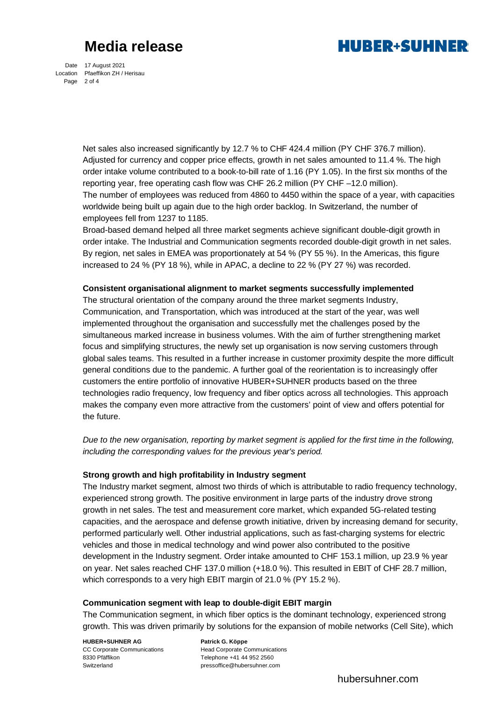

Date 17 August 2021 Location Pfaeffikon ZH / Herisau Page 2 of 4

> Net sales also increased significantly by 12.7 % to CHF 424.4 million (PY CHF 376.7 million). Adjusted for currency and copper price effects, growth in net sales amounted to 11.4 %. The high order intake volume contributed to a book-to-bill rate of 1.16 (PY 1.05). In the first six months of the reporting year, free operating cash flow was CHF 26.2 million (PY CHF –12.0 million). The number of employees was reduced from 4860 to 4450 within the space of a year, with capacities worldwide being built up again due to the high order backlog. In Switzerland, the number of employees fell from 1237 to 1185.

Broad-based demand helped all three market segments achieve significant double-digit growth in order intake. The Industrial and Communication segments recorded double-digit growth in net sales. By region, net sales in EMEA was proportionately at 54 % (PY 55 %). In the Americas, this figure increased to 24 % (PY 18 %), while in APAC, a decline to 22 % (PY 27 %) was recorded.

#### **Consistent organisational alignment to market segments successfully implemented**

The structural orientation of the company around the three market segments Industry, Communication, and Transportation, which was introduced at the start of the year, was well implemented throughout the organisation and successfully met the challenges posed by the simultaneous marked increase in business volumes. With the aim of further strengthening market focus and simplifying structures, the newly set up organisation is now serving customers through global sales teams. This resulted in a further increase in customer proximity despite the more difficult general conditions due to the pandemic. A further goal of the reorientation is to increasingly offer customers the entire portfolio of innovative HUBER+SUHNER products based on the three technologies radio frequency, low frequency and fiber optics across all technologies. This approach makes the company even more attractive from the customers' point of view and offers potential for the future.

*Due to the new organisation, reporting by market segment is applied for the first time in the following, including the corresponding values for the previous year's period.*

### **Strong growth and high profitability in Industry segment**

The Industry market segment, almost two thirds of which is attributable to radio frequency technology, experienced strong growth. The positive environment in large parts of the industry drove strong growth in net sales. The test and measurement core market, which expanded 5G-related testing capacities, and the aerospace and defense growth initiative, driven by increasing demand for security, performed particularly well. Other industrial applications, such as fast-charging systems for electric vehicles and those in medical technology and wind power also contributed to the positive development in the Industry segment. Order intake amounted to CHF 153.1 million, up 23.9 % year on year. Net sales reached CHF 137.0 million (+18.0 %). This resulted in EBIT of CHF 28.7 million, which corresponds to a very high EBIT margin of 21.0 % (PY 15.2 %).

#### **Communication segment with leap to double-digit EBIT margin**

The Communication segment, in which fiber optics is the dominant technology, experienced strong growth. This was driven primarily by solutions for the expansion of mobile networks (Cell Site), which

### **HUBER+SUHNER AG Patrick G. Köppe**

8330 Pfäffikon Telephone +41 44 952 2560 Switzerland pressoffice@hubersuhner.com

CC Corporate Communications 
Head Corporate Communications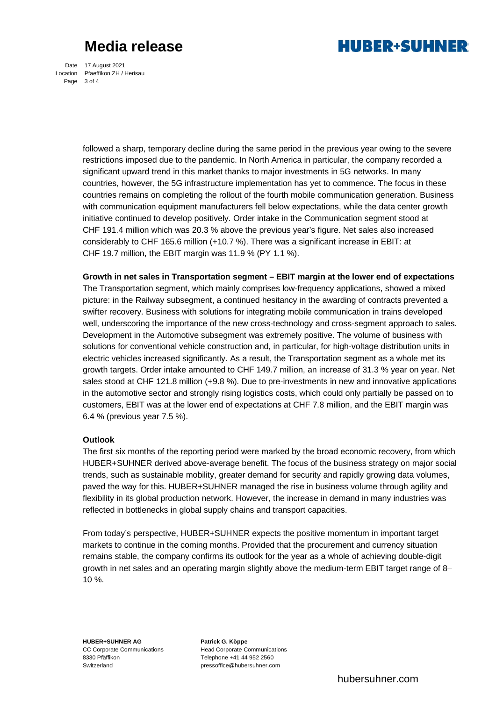

Date 17 August 2021 Location Pfaeffikon ZH / Herisau Page 3 of 4

> followed a sharp, temporary decline during the same period in the previous year owing to the severe restrictions imposed due to the pandemic. In North America in particular, the company recorded a significant upward trend in this market thanks to major investments in 5G networks. In many countries, however, the 5G infrastructure implementation has yet to commence. The focus in these countries remains on completing the rollout of the fourth mobile communication generation. Business with communication equipment manufacturers fell below expectations, while the data center growth initiative continued to develop positively. Order intake in the Communication segment stood at CHF 191.4 million which was 20.3 % above the previous year's figure. Net sales also increased considerably to CHF 165.6 million (+10.7 %). There was a significant increase in EBIT: at CHF 19.7 million, the EBIT margin was 11.9 % (PY 1.1 %).

> **Growth in net sales in Transportation segment – EBIT margin at the lower end of expectations** The Transportation segment, which mainly comprises low-frequency applications, showed a mixed picture: in the Railway subsegment, a continued hesitancy in the awarding of contracts prevented a swifter recovery. Business with solutions for integrating mobile communication in trains developed well, underscoring the importance of the new cross-technology and cross-segment approach to sales. Development in the Automotive subsegment was extremely positive. The volume of business with solutions for conventional vehicle construction and, in particular, for high-voltage distribution units in electric vehicles increased significantly. As a result, the Transportation segment as a whole met its growth targets. Order intake amounted to CHF 149.7 million, an increase of 31.3 % year on year. Net sales stood at CHF 121.8 million (+9.8 %). Due to pre-investments in new and innovative applications in the automotive sector and strongly rising logistics costs, which could only partially be passed on to customers, EBIT was at the lower end of expectations at CHF 7.8 million, and the EBIT margin was 6.4 % (previous year 7.5 %).

### **Outlook**

The first six months of the reporting period were marked by the broad economic recovery, from which HUBER+SUHNER derived above-average benefit. The focus of the business strategy on major social trends, such as sustainable mobility, greater demand for security and rapidly growing data volumes, paved the way for this. HUBER+SUHNER managed the rise in business volume through agility and flexibility in its global production network. However, the increase in demand in many industries was reflected in bottlenecks in global supply chains and transport capacities.

From today's perspective, HUBER+SUHNER expects the positive momentum in important target markets to continue in the coming months. Provided that the procurement and currency situation remains stable, the company confirms its outlook for the year as a whole of achieving double-digit growth in net sales and an operating margin slightly above the medium-term EBIT target range of 8– 10 %.

**HUBER+SUHNER AG Patrick G. Köppe**  8330 Pfäffikon Telephone +41 44 952 2560 Switzerland pressoffice@hubersuhner.com

CC Corporate Communications Head Corporate Communications